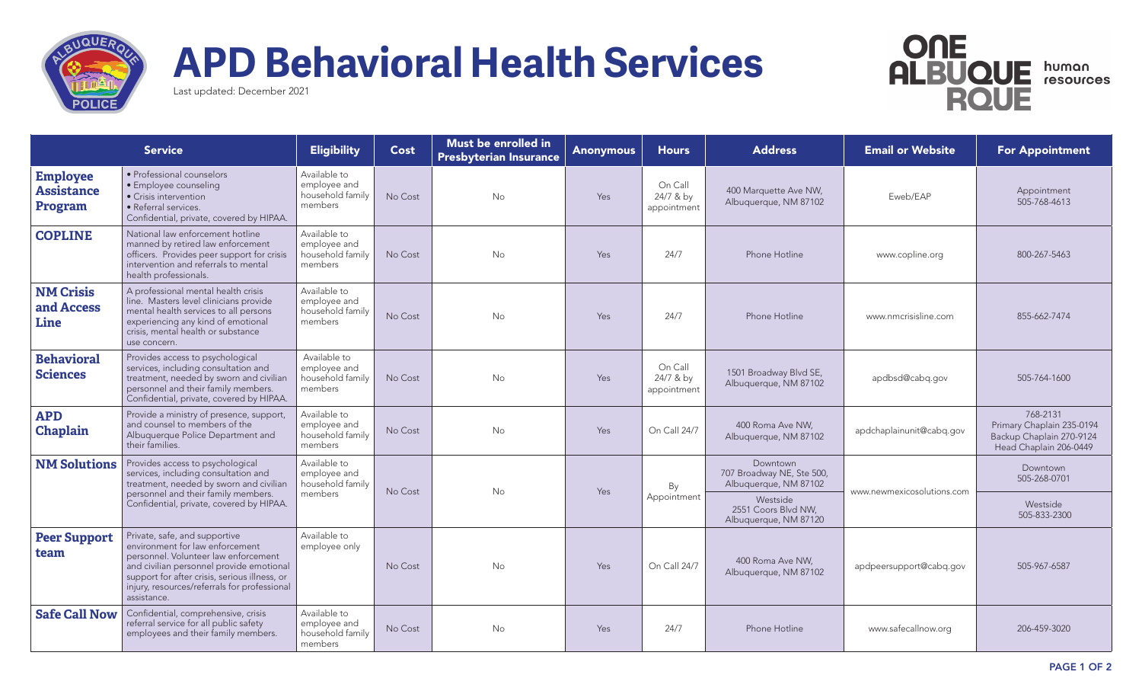

## **APD Behavioral Health Services**



Last updated: December 2021

| <b>Service</b>                                  |                                                                                                                                                                                                                                                                      | <b>Eligibility</b>                                          | Cost    | Must be enrolled in<br><b>Presbyterian Insurance</b> | <b>Anonymous</b> | <b>Hours</b>                        | <b>Address</b>                                                 | <b>Email or Website</b>    | <b>For Appointment</b>                                                                      |
|-------------------------------------------------|----------------------------------------------------------------------------------------------------------------------------------------------------------------------------------------------------------------------------------------------------------------------|-------------------------------------------------------------|---------|------------------------------------------------------|------------------|-------------------------------------|----------------------------------------------------------------|----------------------------|---------------------------------------------------------------------------------------------|
| <b>Employee</b><br><b>Assistance</b><br>Program | · Professional counselors<br>· Employee counseling<br>• Crisis intervention<br>• Referral services.<br>Confidential, private, covered by HIPAA.                                                                                                                      | Available to<br>emplovee and<br>household family<br>members | No Cost | <b>No</b>                                            | Yes              | On Call<br>24/7 & by<br>appointment | 400 Marquette Ave NW,<br>Albuquerque, NM 87102                 | Eweb/EAP                   | Appointment<br>505-768-4613                                                                 |
| <b>COPLINE</b>                                  | National law enforcement hotline<br>manned by retired law enforcement<br>officers. Provides peer support for crisis<br>intervention and referrals to mental<br>health professionals.                                                                                 | Available to<br>employee and<br>household family<br>members | No Cost | <b>No</b>                                            | <b>Yes</b>       | 24/7                                | Phone Hotline                                                  | www.copline.org            | 800-267-5463                                                                                |
| <b>NM Crisis</b><br>and Access<br>Line          | A professional mental health crisis<br>line. Masters level clinicians provide<br>mental health services to all persons<br>experiencing any kind of emotional<br>crisis, mental health or substance<br>use concern.                                                   | Available to<br>employee and<br>household family<br>members | No Cost | <b>No</b>                                            | Yes              | 24/7                                | Phone Hotline                                                  | www.nmcrisisline.com       | 855-662-7474                                                                                |
| <b>Behavioral</b><br><b>Sciences</b>            | Provides access to psychological<br>services, including consultation and<br>treatment, needed by sworn and civilian<br>personnel and their family members.<br>Confidential, private, covered by HIPAA.                                                               | Available to<br>employee and<br>household family<br>members | No Cost | <b>No</b>                                            | <b>Yes</b>       | On Call<br>24/7 & by<br>appointment | 1501 Broadway Blvd SE,<br>Albuquerque, NM 87102                | apdbsd@cabq.gov            | 505-764-1600                                                                                |
| <b>APD</b><br>Chaplain                          | Provide a ministry of presence, support,<br>and counsel to members of the<br>Albuquerque Police Department and<br>their families.                                                                                                                                    | Available to<br>employee and<br>household family<br>members | No Cost | <b>No</b>                                            | Yes              | On Call 24/7                        | 400 Roma Ave NW,<br>Albuquerque, NM 87102                      | apdchaplainunit@cabg.gov   | 768-2131<br>Primary Chaplain 235-0194<br>Backup Chaplain 270-9124<br>Head Chaplain 206-0449 |
| <b>NM Solutions</b>                             | Provides access to psychological<br>services, including consultation and<br>treatment, needed by sworn and civilian<br>personnel and their family members.<br>Confidential, private, covered by HIPAA.                                                               | Available to<br>employee and<br>household family<br>members | No Cost | <b>No</b>                                            | <b>Yes</b>       | By<br>Appointment                   | Downtown<br>707 Broadway NE, Ste 500,<br>Albuquerque, NM 87102 | www.newmexicosolutions.com | Downtown<br>505-268-0701                                                                    |
|                                                 |                                                                                                                                                                                                                                                                      |                                                             |         |                                                      |                  |                                     | Westside<br>2551 Coors Blvd NW,<br>Albuquerque, NM 87120       |                            | Westside<br>505-833-2300                                                                    |
| <b>Peer Support</b><br>team                     | Private, safe, and supportive<br>environment for law enforcement<br>personnel. Volunteer law enforcement<br>and civilian personnel provide emotional<br>support for after crisis, serious illness, or<br>injury, resources/referrals for professional<br>assistance. | Available to<br>employee only                               | No Cost | <b>No</b>                                            | Yes              | On Call 24/7                        | 400 Roma Ave NW.<br>Albuquerque, NM 87102                      | apdpeersupport@cabq.gov    | 505-967-6587                                                                                |
| <b>Safe Call Now</b>                            | Confidential, comprehensive, crisis<br>referral service for all public safety<br>employees and their family members.                                                                                                                                                 | Available to<br>employee and<br>household family<br>members | No Cost | No                                                   | Yes              | 24/7                                | Phone Hotline                                                  | www.safecallnow.org        | 206-459-3020                                                                                |